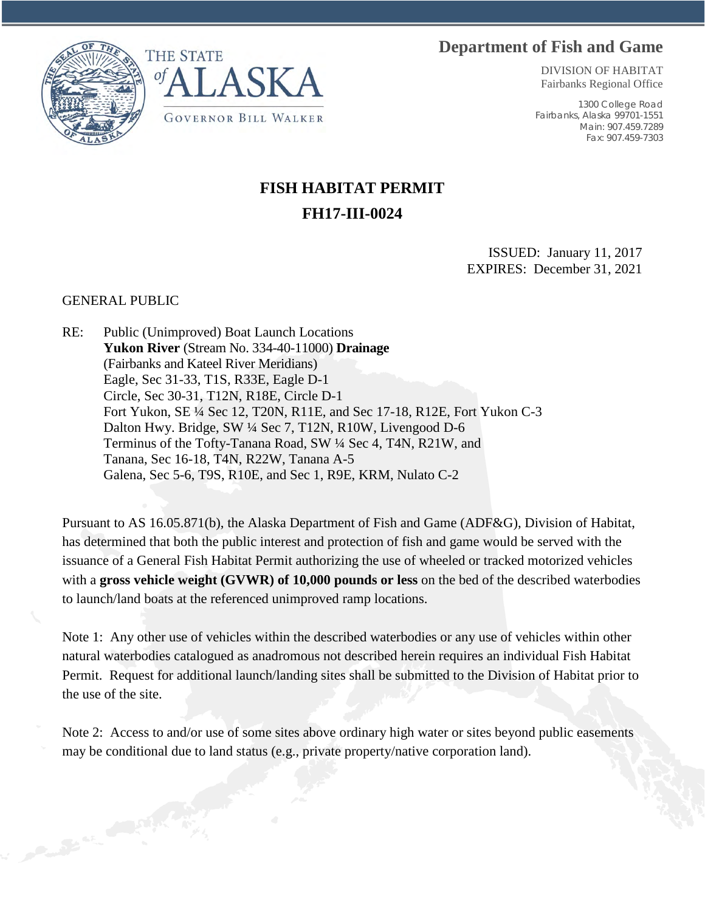## **Department of Fish and Game**





DIVISION OF HABITAT Fairbanks Regional Office

1300 College Road Fairbanks, Alaska 99701-1551 Main: 907.459.7289 Fax: 907.459-7303

## **FISH HABITAT PERMIT FH17-III-0024**

ISSUED: January 11, 2017 EXPIRES: December 31, 2021

## GENERAL PUBLIC

RE: Public (Unimproved) Boat Launch Locations **Yukon River** (Stream No. 334-40-11000) **Drainage** (Fairbanks and Kateel River Meridians) Eagle, Sec 31-33, T1S, R33E, Eagle D-1 Circle, Sec 30-31, T12N, R18E, Circle D-1 Fort Yukon, SE ¼ Sec 12, T20N, R11E, and Sec 17-18, R12E, Fort Yukon C-3 Dalton Hwy. Bridge, SW ¼ Sec 7, T12N, R10W, Livengood D-6 Terminus of the Tofty-Tanana Road, SW ¼ Sec 4, T4N, R21W, and Tanana, Sec 16-18, T4N, R22W, Tanana A-5 Galena, Sec 5-6, T9S, R10E, and Sec 1, R9E, KRM, Nulato C-2

Pursuant to AS 16.05.871(b), the Alaska Department of Fish and Game (ADF&G), Division of Habitat, has determined that both the public interest and protection of fish and game would be served with the issuance of a General Fish Habitat Permit authorizing the use of wheeled or tracked motorized vehicles with a **gross vehicle weight (GVWR) of 10,000 pounds or less** on the bed of the described waterbodies to launch/land boats at the referenced unimproved ramp locations.

Note 1: Any other use of vehicles within the described waterbodies or any use of vehicles within other natural waterbodies catalogued as anadromous not described herein requires an individual Fish Habitat Permit. Request for additional launch/landing sites shall be submitted to the Division of Habitat prior to the use of the site.

Note 2: Access to and/or use of some sites above ordinary high water or sites beyond public easements may be conditional due to land status (e.g., private property/native corporation land).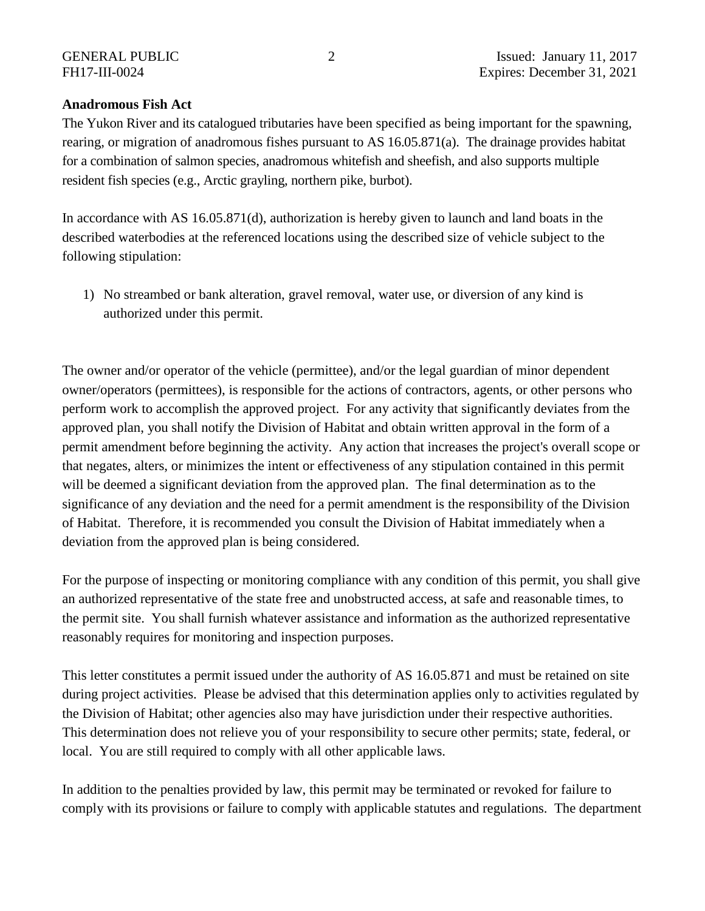## **Anadromous Fish Act**

The Yukon River and its catalogued tributaries have been specified as being important for the spawning, rearing, or migration of anadromous fishes pursuant to AS 16.05.871(a). The drainage provides habitat for a combination of salmon species, anadromous whitefish and sheefish, and also supports multiple resident fish species (e.g., Arctic grayling, northern pike, burbot).

In accordance with AS 16.05.871(d), authorization is hereby given to launch and land boats in the described waterbodies at the referenced locations using the described size of vehicle subject to the following stipulation:

1) No streambed or bank alteration, gravel removal, water use, or diversion of any kind is authorized under this permit.

The owner and/or operator of the vehicle (permittee), and/or the legal guardian of minor dependent owner/operators (permittees), is responsible for the actions of contractors, agents, or other persons who perform work to accomplish the approved project. For any activity that significantly deviates from the approved plan, you shall notify the Division of Habitat and obtain written approval in the form of a permit amendment before beginning the activity. Any action that increases the project's overall scope or that negates, alters, or minimizes the intent or effectiveness of any stipulation contained in this permit will be deemed a significant deviation from the approved plan. The final determination as to the significance of any deviation and the need for a permit amendment is the responsibility of the Division of Habitat. Therefore, it is recommended you consult the Division of Habitat immediately when a deviation from the approved plan is being considered.

For the purpose of inspecting or monitoring compliance with any condition of this permit, you shall give an authorized representative of the state free and unobstructed access, at safe and reasonable times, to the permit site. You shall furnish whatever assistance and information as the authorized representative reasonably requires for monitoring and inspection purposes.

This letter constitutes a permit issued under the authority of AS 16.05.871 and must be retained on site during project activities. Please be advised that this determination applies only to activities regulated by the Division of Habitat; other agencies also may have jurisdiction under their respective authorities. This determination does not relieve you of your responsibility to secure other permits; state, federal, or local. You are still required to comply with all other applicable laws.

In addition to the penalties provided by law, this permit may be terminated or revoked for failure to comply with its provisions or failure to comply with applicable statutes and regulations. The department